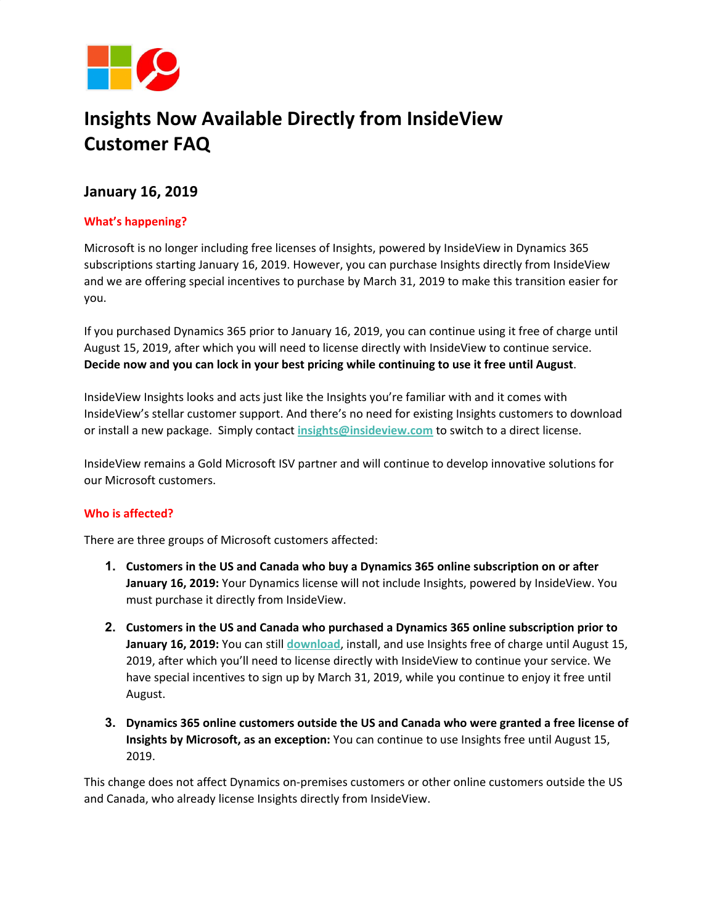

# **Insights Now Available Directly from InsideView Customer FAQ**

## **January 16, 2019**

## **What's happening?**

Microsoft is no longer including free licenses of Insights, powered by InsideView in Dynamics 365 subscriptions starting January 16, 2019. However, you can purchase Insights directly from InsideView and we are offering special incentives to purchase by March 31, 2019 to make this transition easier for you.

If you purchased Dynamics 365 prior to January 16, 2019, you can continue using it free of charge until August 15, 2019, after which you will need to license directly with InsideView to continue service. **Decide now and you can lock in your best pricing while continuing to use it free until August**.

InsideView Insights looks and acts just like the Insights you're familiar with and it comes with InsideView's stellar customer support. And there's no need for existing Insights customers to download or install a new package. Simply contact **[insights@insideview.com](mailto:insights@insideview.com)** to switch to a direct license.

InsideView remains a Gold Microsoft ISV partner and will continue to develop innovative solutions for our Microsoft customers.

### **Who is affected?**

There are three groups of Microsoft customers affected:

- **1. Customers in the US and Canada who buy a Dynamics 365 online subscription on or after January 16, 2019:** Your Dynamics license will not include Insights, powered by InsideView. You must purchase it directly from InsideView.
- **2. Customers in the US and Canada who purchased a Dynamics 365 online subscription prior to January 16, 2019:** You can still **[download](https://appsource.microsoft.com/en-us/product/dynamics-365/insideviewinc.b5386882-4312-4d69-879a-23081897c012?tab=Overview)**, install, and use Insights free of charge until August 15, 2019, after which you'll need to license directly with InsideView to continue your service. We have special incentives to sign up by March 31, 2019, while you continue to enjoy it free until August.
- **3. Dynamics 365 online customers outside the US and Canada who were granted a free license of Insights by Microsoft, as an exception:** You can continue to use Insights free until August 15, 2019.

This change does not affect Dynamics on-premises customers or other online customers outside the US and Canada, who already license Insights directly from InsideView.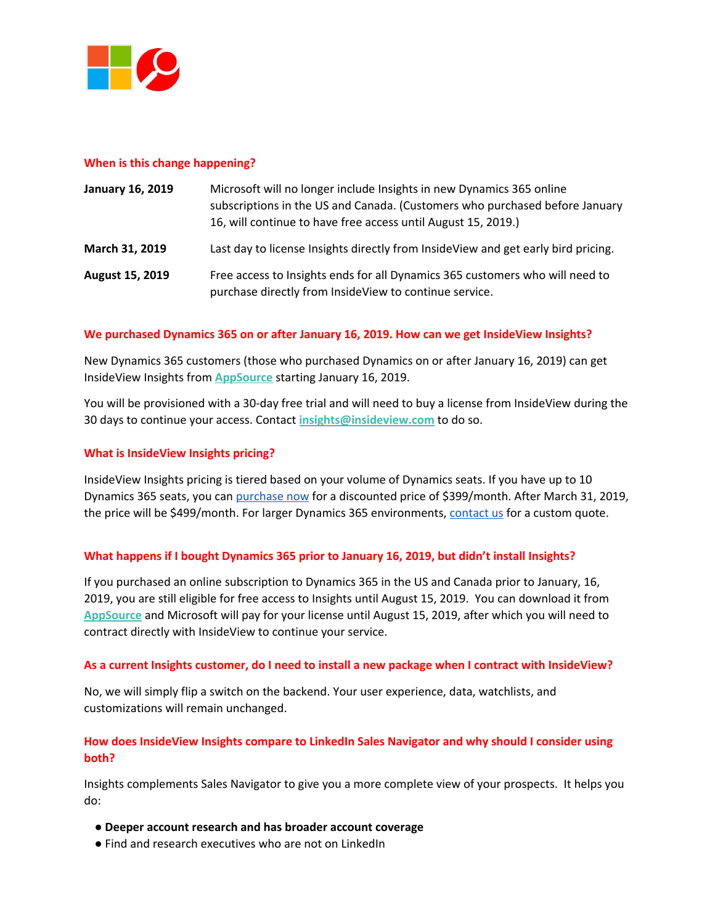

#### **When is this change happening?**

| <b>January 16, 2019</b> | Microsoft will no longer include Insights in new Dynamics 365 online<br>subscriptions in the US and Canada. (Customers who purchased before January<br>16, will continue to have free access until August 15, 2019.) |
|-------------------------|----------------------------------------------------------------------------------------------------------------------------------------------------------------------------------------------------------------------|
| March 31, 2019          | Last day to license Insights directly from InsideView and get early bird pricing.                                                                                                                                    |
| <b>August 15, 2019</b>  | Free access to Insights ends for all Dynamics 365 customers who will need to<br>purchase directly from InsideView to continue service.                                                                               |

#### **We purchased Dynamics 365 on or after January 16, 2019. How can we get InsideView Insights?**

New Dynamics 365 customers (those who purchased Dynamics on or after January 16, 2019) can get InsideView Insights from **[AppSource](https://appsource.microsoft.com/en-us/product/dynamics-365/insideviewinc.b5386882-4312-4d69-879a-23081897c012?tab=Overview)** starting January 16, 2019.

You will be provisioned with a 30-day free trial and will need to buy a license from InsideView during the 30 days to continue your access. Contact **[insights@insideview.com](mailto:insights@insideview.com)** to do so.

#### **What is InsideView Insights pricing?**

InsideView Insights pricing is tiered based on your volume of Dynamics seats. If you have up to 10 Dynamics 365 seats, you can [purchase](https://www.insideview.com/ready-to-buy-insideview-insights-now/) now for a discounted price of \$399/month. After March 31, 2019, the price will be \$499/month. For larger Dynamics 365 environments, [contact](mailto:insights@insideview.com) us for a custom quote.

#### **What happens if I bought Dynamics 365 prior to January 16, 2019, but didn't install Insights?**

If you purchased an online subscription to Dynamics 365 in the US and Canada prior to January, 16, 2019, you are still eligible for free access to Insights until August 15, 2019. You can download it from **[AppSource](https://appsource.microsoft.com/en-us/product/dynamics-365/insideviewinc.b5386882-4312-4d69-879a-23081897c012?tab=Overview)** and Microsoft will pay for your license until August 15, 2019, after which you will need to contract directly with InsideView to continue your service.

#### As a current Insights customer, do I need to install a new package when I contract with InsideView?

No, we will simply flip a switch on the backend. Your user experience, data, watchlists, and customizations will remain unchanged.

## **How does InsideView Insights compare to LinkedIn Sales Navigator and why should I consider using both?**

Insights complements Sales Navigator to give you a more complete view of your prospects. It helps you do:

- **● Deeper account research and has broader account coverage**
- Find and research executives who are not on LinkedIn